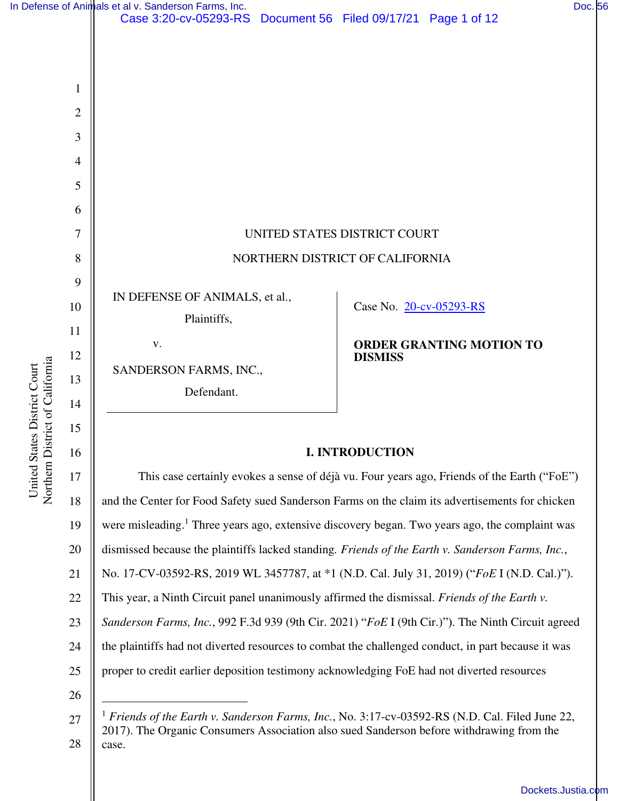|                                                                 |                          | In Defense of Animals et al v. Sanderson Farms, Inc.                                            |                                                   | Doc. 56 |  |
|-----------------------------------------------------------------|--------------------------|-------------------------------------------------------------------------------------------------|---------------------------------------------------|---------|--|
|                                                                 |                          | Case 3:20-cv-05293-RS Document 56 Filed 09/17/21 Page 1 of 12                                   |                                                   |         |  |
|                                                                 |                          |                                                                                                 |                                                   |         |  |
|                                                                 |                          |                                                                                                 |                                                   |         |  |
|                                                                 | 1                        |                                                                                                 |                                                   |         |  |
|                                                                 | $\mathbf{2}$             |                                                                                                 |                                                   |         |  |
|                                                                 | 3                        |                                                                                                 |                                                   |         |  |
| Northern District of California<br>United States District Court | $\overline{\mathcal{A}}$ |                                                                                                 |                                                   |         |  |
|                                                                 | 5                        |                                                                                                 |                                                   |         |  |
|                                                                 | 6                        |                                                                                                 |                                                   |         |  |
|                                                                 | $\tau$                   | UNITED STATES DISTRICT COURT<br>NORTHERN DISTRICT OF CALIFORNIA                                 |                                                   |         |  |
|                                                                 | $8\,$                    |                                                                                                 |                                                   |         |  |
|                                                                 | 9                        |                                                                                                 |                                                   |         |  |
|                                                                 | 10                       | IN DEFENSE OF ANIMALS, et al.,                                                                  | Case No. 20-cv-05293-RS                           |         |  |
|                                                                 | 11                       | Plaintiffs,                                                                                     |                                                   |         |  |
|                                                                 | 12                       | $\mathbf{V}$ .                                                                                  | <b>ORDER GRANTING MOTION TO</b><br><b>DISMISS</b> |         |  |
|                                                                 | 13                       | SANDERSON FARMS, INC.,<br>Defendant.                                                            |                                                   |         |  |
|                                                                 | 14                       |                                                                                                 |                                                   |         |  |
|                                                                 |                          |                                                                                                 |                                                   |         |  |
|                                                                 | 15                       |                                                                                                 |                                                   |         |  |
|                                                                 | 16                       | <b>I. INTRODUCTION</b>                                                                          |                                                   |         |  |
|                                                                 | 17                       | This case certainly evokes a sense of déjà vu. Four years ago, Friends of the Earth ("FoE")     |                                                   |         |  |
|                                                                 | 18                       | and the Center for Food Safety sued Sanderson Farms on the claim its advertisements for chicken |                                                   |         |  |

# **I. INTRODUCTION**

17 18 19 20 21 22 23 24 25 26 This case certainly evokes a sense of déjà vu. Four years ago, Friends of the Earth ("FoE") and the Center for Food Safety sued Sanderson Farms on the claim its advertisements for chicken were misleading.<sup>1</sup> Three years ago, extensive discovery began. Two years ago, the complaint was dismissed because the plaintiffs lacked standing*. Friends of the Earth v. Sanderson Farms, Inc.*, No. 17-CV-03592-RS, 2019 WL 3457787, at \*1 (N.D. Cal. July 31, 2019) ("*FoE* I (N.D. Cal.)"). This year, a Ninth Circuit panel unanimously affirmed the dismissal. *Friends of the Earth v. Sanderson Farms, Inc.*, 992 F.3d 939 (9th Cir. 2021) "*FoE* I (9th Cir.)"). The Ninth Circuit agreed the plaintiffs had not diverted resources to combat the challenged conduct, in part because it was proper to credit earlier deposition testimony acknowledging FoE had not diverted resources

<sup>27</sup>  28 <sup>1</sup> *Friends of the Earth v. Sanderson Farms, Inc.*, No. 3:17-cv-03592-RS (N.D. Cal. Filed June 22, 2017). The Organic Consumers Association also sued Sanderson before withdrawing from the case.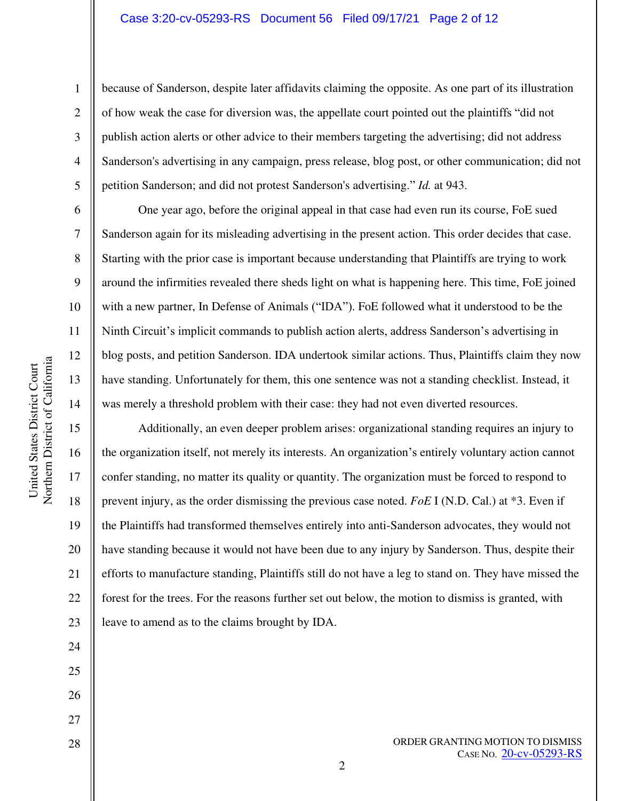#### Case 3:20-cv-05293-RS Document 56 Filed 09/17/21 Page 2 of 12

because of Sanderson, despite later affidavits claiming the opposite. As one part of its illustration of how weak the case for diversion was, the appellate court pointed out the plaintiffs "did not publish action alerts or other advice to their members targeting the advertising; did not address Sanderson's advertising in any campaign, press release, blog post, or other communication; did not petition Sanderson; and did not protest Sanderson's advertising." *Id.* at 943.

One year ago, before the original appeal in that case had even run its course, FoE sued Sanderson again for its misleading advertising in the present action. This order decides that case. Starting with the prior case is important because understanding that Plaintiffs are trying to work around the infirmities revealed there sheds light on what is happening here. This time, FoE joined with a new partner, In Defense of Animals ("IDA"). FoE followed what it understood to be the Ninth Circuit's implicit commands to publish action alerts, address Sanderson's advertising in blog posts, and petition Sanderson. IDA undertook similar actions. Thus, Plaintiffs claim they now have standing. Unfortunately for them, this one sentence was not a standing checklist. Instead, it was merely a threshold problem with their case: they had not even diverted resources.

Additionally, an even deeper problem arises: organizational standing requires an injury to the organization itself, not merely its interests. An organization's entirely voluntary action cannot confer standing, no matter its quality or quantity. The organization must be forced to respond to prevent injury, as the order dismissing the previous case noted. *FoE* I (N.D. Cal.) at \*3. Even if the Plaintiffs had transformed themselves entirely into anti-Sanderson advocates, they would not have standing because it would not have been due to any injury by Sanderson. Thus, despite their efforts to manufacture standing, Plaintiffs still do not have a leg to stand on. They have missed the forest for the trees. For the reasons further set out below, the motion to dismiss is granted, with leave to amend as to the claims brought by IDA.

28

27

2

1

2

3

4

5

6

7

8

9

10

11

12

13

14

15

16

17

18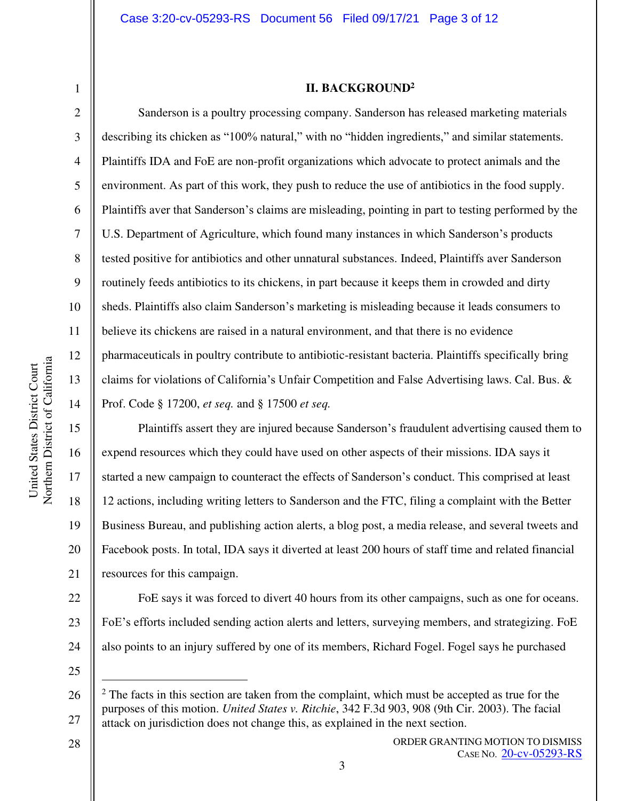6

7

8

9

10

11

12

13

14

15

16

17

18

19

20

21

### **II. BACKGROUND<sup>2</sup>**

Sanderson is a poultry processing company. Sanderson has released marketing materials describing its chicken as "100% natural," with no "hidden ingredients," and similar statements. Plaintiffs IDA and FoE are non-profit organizations which advocate to protect animals and the environment. As part of this work, they push to reduce the use of antibiotics in the food supply. Plaintiffs aver that Sanderson's claims are misleading, pointing in part to testing performed by the U.S. Department of Agriculture, which found many instances in which Sanderson's products tested positive for antibiotics and other unnatural substances. Indeed, Plaintiffs aver Sanderson routinely feeds antibiotics to its chickens, in part because it keeps them in crowded and dirty sheds. Plaintiffs also claim Sanderson's marketing is misleading because it leads consumers to believe its chickens are raised in a natural environment, and that there is no evidence pharmaceuticals in poultry contribute to antibiotic-resistant bacteria. Plaintiffs specifically bring claims for violations of California's Unfair Competition and False Advertising laws. Cal. Bus. & Prof. Code § 17200, *et seq.* and § 17500 *et seq.* 

Plaintiffs assert they are injured because Sanderson's fraudulent advertising caused them to expend resources which they could have used on other aspects of their missions. IDA says it started a new campaign to counteract the effects of Sanderson's conduct. This comprised at least 12 actions, including writing letters to Sanderson and the FTC, filing a complaint with the Better Business Bureau, and publishing action alerts, a blog post, a media release, and several tweets and Facebook posts. In total, IDA says it diverted at least 200 hours of staff time and related financial resources for this campaign.

22 23 24 FoE says it was forced to divert 40 hours from its other campaigns, such as one for oceans. FoE's efforts included sending action alerts and letters, surveying members, and strategizing. FoE also points to an injury suffered by one of its members, Richard Fogel. Fogel says he purchased

25

28

ORDER GRANTING MOTION TO DISMISS CASE NO. [20-cv-05293-RS](https://ecf.cand.uscourts.gov/cgi-bin/DktRpt.pl?363559)

<sup>26</sup>  27  $2$  The facts in this section are taken from the complaint, which must be accepted as true for the purposes of this motion. *United States v. Ritchie*, 342 F.3d 903, 908 (9th Cir. 2003). The facial attack on jurisdiction does not change this, as explained in the next section.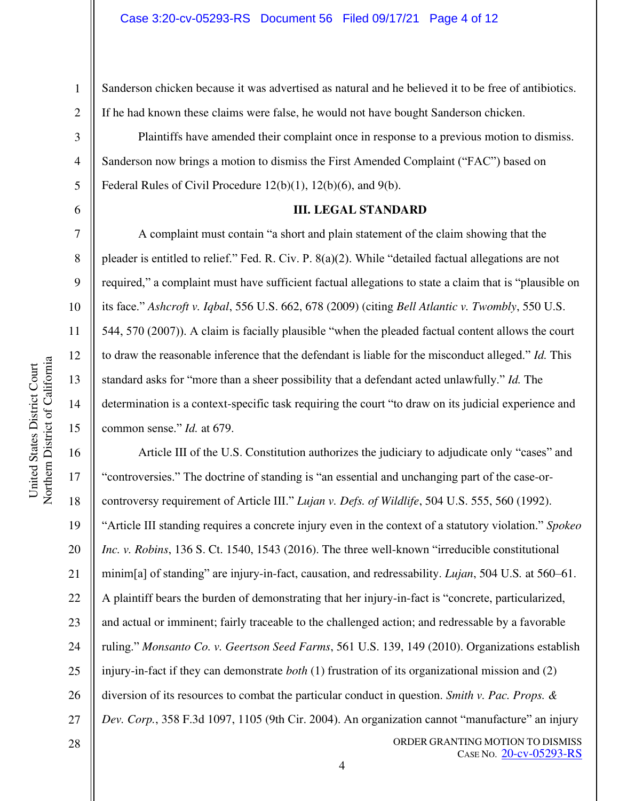United States District Court Northern District of California

Northern District of California United States District Court

1

Sanderson chicken because it was advertised as natural and he believed it to be free of antibiotics. If he had known these claims were false, he would not have bought Sanderson chicken.

Plaintiffs have amended their complaint once in response to a previous motion to dismiss. Sanderson now brings a motion to dismiss the First Amended Complaint ("FAC") based on Federal Rules of Civil Procedure 12(b)(1), 12(b)(6), and 9(b).

#### **III. LEGAL STANDARD**

A complaint must contain "a short and plain statement of the claim showing that the pleader is entitled to relief." Fed. R. Civ. P. 8(a)(2). While "detailed factual allegations are not required," a complaint must have sufficient factual allegations to state a claim that is "plausible on its face." *Ashcroft v. Iqbal*, 556 U.S. 662, 678 (2009) (citing *Bell Atlantic v. Twombly*, 550 U.S. 544, 570 (2007)). A claim is facially plausible "when the pleaded factual content allows the court to draw the reasonable inference that the defendant is liable for the misconduct alleged." *Id.* This standard asks for "more than a sheer possibility that a defendant acted unlawfully." *Id.* The determination is a context-specific task requiring the court "to draw on its judicial experience and common sense." *Id.* at 679.

16 17 18 19 20 21 22 23 24 25 26 27 Article III of the U.S. Constitution authorizes the judiciary to adjudicate only "cases" and "controversies." The doctrine of standing is "an essential and unchanging part of the case-orcontroversy requirement of Article III." *Lujan v. Defs. of Wildlife*, 504 U.S. 555, 560 (1992). "Article III standing requires a concrete injury even in the context of a statutory violation." *Spokeo Inc. v. Robins*, 136 S. Ct. 1540, 1543 (2016). The three well-known "irreducible constitutional minim[a] of standing" are injury-in-fact, causation, and redressability. *Lujan*, 504 U.S*.* at 560–61. A plaintiff bears the burden of demonstrating that her injury-in-fact is "concrete, particularized, and actual or imminent; fairly traceable to the challenged action; and redressable by a favorable ruling." *Monsanto Co. v. Geertson Seed Farms*, 561 U.S. 139, 149 (2010). Organizations establish injury-in-fact if they can demonstrate *both* (1) frustration of its organizational mission and (2) diversion of its resources to combat the particular conduct in question. *Smith v. Pac. Props. & Dev. Corp.*, 358 F.3d 1097, 1105 (9th Cir. 2004). An organization cannot "manufacture" an injury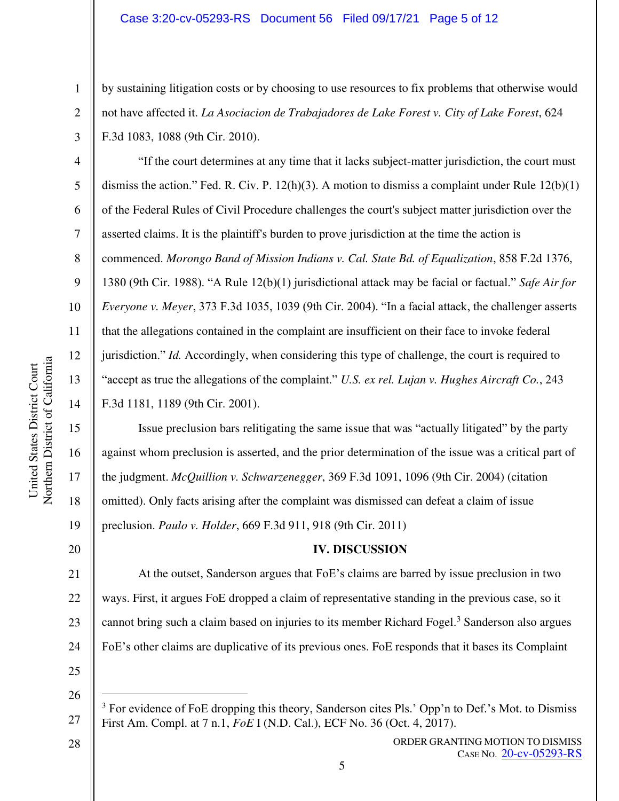by sustaining litigation costs or by choosing to use resources to fix problems that otherwise would not have affected it. *La Asociacion de Trabajadores de Lake Forest v. City of Lake Forest*, 624 F.3d 1083, 1088 (9th Cir. 2010).

"If the court determines at any time that it lacks subject-matter jurisdiction, the court must dismiss the action." Fed. R. Civ. P.  $12(h)(3)$ . A motion to dismiss a complaint under Rule  $12(b)(1)$ of the Federal Rules of Civil Procedure challenges the court's subject matter jurisdiction over the asserted claims. It is the plaintiff's burden to prove jurisdiction at the time the action is commenced. *Morongo Band of Mission Indians v. Cal. State Bd. of Equalization*, 858 F.2d 1376, 1380 (9th Cir. 1988). "A Rule 12(b)(1) jurisdictional attack may be facial or factual." *Safe Air for Everyone v. Meyer*, 373 F.3d 1035, 1039 (9th Cir. 2004). "In a facial attack, the challenger asserts that the allegations contained in the complaint are insufficient on their face to invoke federal jurisdiction." *Id.* Accordingly, when considering this type of challenge, the court is required to "accept as true the allegations of the complaint." *U.S. ex rel. Lujan v. Hughes Aircraft Co.*, 243 F.3d 1181, 1189 (9th Cir. 2001).

Issue preclusion bars relitigating the same issue that was "actually litigated" by the party against whom preclusion is asserted, and the prior determination of the issue was a critical part of the judgment. *McQuillion v. Schwarzenegger*, 369 F.3d 1091, 1096 (9th Cir. 2004) (citation omitted). Only facts arising after the complaint was dismissed can defeat a claim of issue preclusion. *Paulo v. Holder*, 669 F.3d 911, 918 (9th Cir. 2011)

# **IV. DISCUSSION**

21 22 23 24 At the outset, Sanderson argues that FoE's claims are barred by issue preclusion in two ways. First, it argues FoE dropped a claim of representative standing in the previous case, so it cannot bring such a claim based on injuries to its member Richard Fogel.<sup>3</sup> Sanderson also argues FoE's other claims are duplicative of its previous ones. FoE responds that it bases its Complaint

25 26

28

27

1

2

3

4

5

6

7

8

9

10

11

12

13

14

15

16

17

18

19

<sup>&</sup>lt;sup>3</sup> For evidence of FoE dropping this theory, Sanderson cites Pls.' Opp'n to Def.'s Mot. to Dismiss First Am. Compl. at 7 n.1, *FoE* I (N.D. Cal.), ECF No. 36 (Oct. 4, 2017).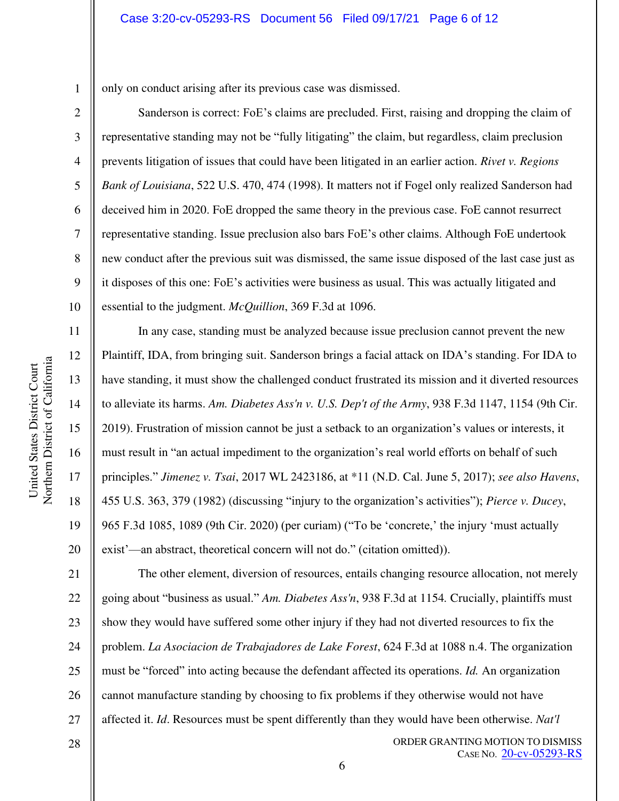only on conduct arising after its previous case was dismissed.

Sanderson is correct: FoE's claims are precluded. First, raising and dropping the claim of representative standing may not be "fully litigating" the claim, but regardless, claim preclusion prevents litigation of issues that could have been litigated in an earlier action. *Rivet v. Regions Bank of Louisiana*, 522 U.S. 470, 474 (1998). It matters not if Fogel only realized Sanderson had deceived him in 2020. FoE dropped the same theory in the previous case. FoE cannot resurrect representative standing. Issue preclusion also bars FoE's other claims. Although FoE undertook new conduct after the previous suit was dismissed, the same issue disposed of the last case just as it disposes of this one: FoE's activities were business as usual. This was actually litigated and essential to the judgment. *McQuillion*, 369 F.3d at 1096.

In any case, standing must be analyzed because issue preclusion cannot prevent the new Plaintiff, IDA, from bringing suit. Sanderson brings a facial attack on IDA's standing. For IDA to have standing, it must show the challenged conduct frustrated its mission and it diverted resources to alleviate its harms. *Am. Diabetes Ass'n v. U.S. Dep't of the Army*, 938 F.3d 1147, 1154 (9th Cir. 2019). Frustration of mission cannot be just a setback to an organization's values or interests, it must result in "an actual impediment to the organization's real world efforts on behalf of such principles." *Jimenez v. Tsai*, 2017 WL 2423186, at \*11 (N.D. Cal. June 5, 2017); *see also Havens*, 455 U.S. 363, 379 (1982) (discussing "injury to the organization's activities"); *Pierce v. Ducey*, 965 F.3d 1085, 1089 (9th Cir. 2020) (per curiam) ("To be 'concrete,' the injury 'must actually exist'—an abstract, theoretical concern will not do." (citation omitted)).

21 22 23 24 25 26 27 The other element, diversion of resources, entails changing resource allocation, not merely going about "business as usual." *Am. Diabetes Ass'n*, 938 F.3d at 1154*.* Crucially, plaintiffs must show they would have suffered some other injury if they had not diverted resources to fix the problem. *La Asociacion de Trabajadores de Lake Forest*, 624 F.3d at 1088 n.4. The organization must be "forced" into acting because the defendant affected its operations. *Id.* An organization cannot manufacture standing by choosing to fix problems if they otherwise would not have affected it. *Id*. Resources must be spent differently than they would have been otherwise. *Nat'l* 

1

2

3

4

5

6

7

8

9

10

11

12

13

14

15

16

17

18

19

20

ORDER GRANTING MOTION TO DISMISS CASE NO. [20-cv-05293-RS](https://ecf.cand.uscourts.gov/cgi-bin/DktRpt.pl?363559)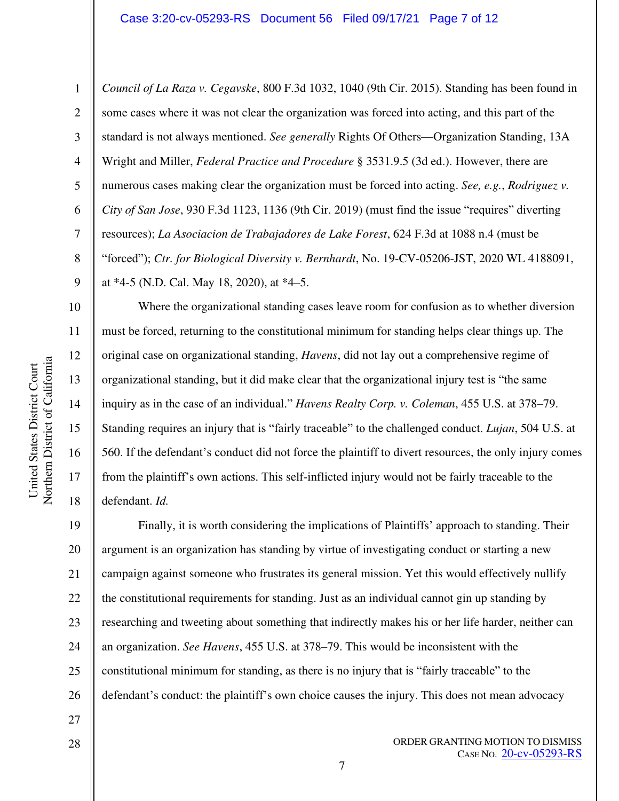6 7 *Council of La Raza v. Cegavske*, 800 F.3d 1032, 1040 (9th Cir. 2015). Standing has been found in some cases where it was not clear the organization was forced into acting, and this part of the standard is not always mentioned. *See generally* Rights Of Others—Organization Standing, 13A Wright and Miller, *Federal Practice and Procedure* § 3531.9.5 (3d ed.). However, there are numerous cases making clear the organization must be forced into acting. *See, e.g.*, *Rodriguez v. City of San Jose*, 930 F.3d 1123, 1136 (9th Cir. 2019) (must find the issue "requires" diverting resources); *La Asociacion de Trabajadores de Lake Forest*, 624 F.3d at 1088 n.4 (must be "forced"); *Ctr. for Biological Diversity v. Bernhardt*, No. 19-CV-05206-JST, 2020 WL 4188091, at \*4-5 (N.D. Cal. May 18, 2020), at \*4–5.

Where the organizational standing cases leave room for confusion as to whether diversion must be forced, returning to the constitutional minimum for standing helps clear things up. The original case on organizational standing, *Havens*, did not lay out a comprehensive regime of organizational standing, but it did make clear that the organizational injury test is "the same inquiry as in the case of an individual." *Havens Realty Corp. v. Coleman*, 455 U.S. at 378–79. Standing requires an injury that is "fairly traceable" to the challenged conduct. *Lujan*, 504 U.S. at 560. If the defendant's conduct did not force the plaintiff to divert resources, the only injury comes from the plaintiff's own actions. This self-inflicted injury would not be fairly traceable to the defendant. *Id.*

19 20 21 22 23 24 25 26 Finally, it is worth considering the implications of Plaintiffs' approach to standing. Their argument is an organization has standing by virtue of investigating conduct or starting a new campaign against someone who frustrates its general mission. Yet this would effectively nullify the constitutional requirements for standing. Just as an individual cannot gin up standing by researching and tweeting about something that indirectly makes his or her life harder, neither can an organization. *See Havens*, 455 U.S. at 378–79. This would be inconsistent with the constitutional minimum for standing, as there is no injury that is "fairly traceable" to the defendant's conduct: the plaintiff's own choice causes the injury. This does not mean advocacy

Northern District of California Northern District of California United States District Court United States District Court

1

2

3

4

5

8

9

10

11

12

13

14

15

16

17

18

28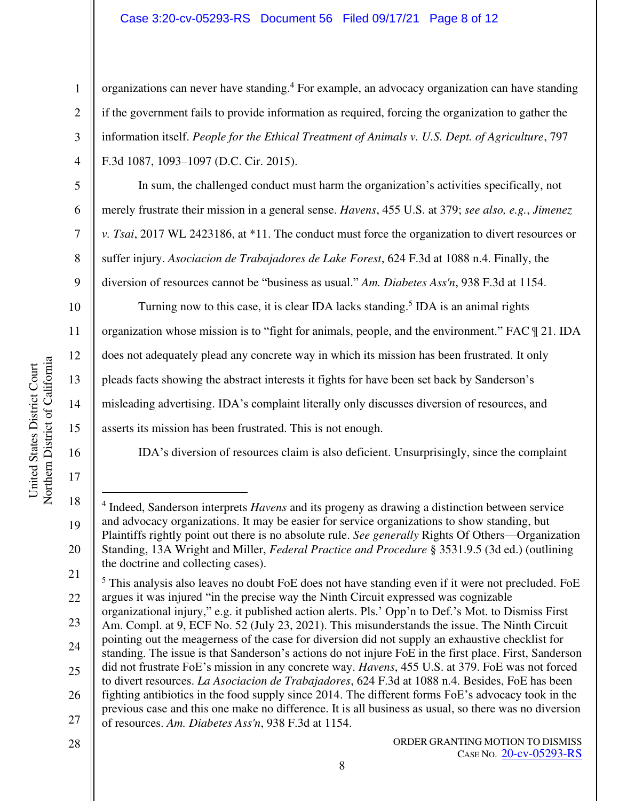# Case 3:20-cv-05293-RS Document 56 Filed 09/17/21 Page 8 of 12

organizations can never have standing.<sup>4</sup> For example, an advocacy organization can have standing if the government fails to provide information as required, forcing the organization to gather the information itself. *People for the Ethical Treatment of Animals v. U.S. Dept. of Agriculture*, 797 F.3d 1087, 1093–1097 (D.C. Cir. 2015).

In sum, the challenged conduct must harm the organization's activities specifically, not merely frustrate their mission in a general sense. *Havens*, 455 U.S. at 379; *see also, e.g.*, *Jimenez v. Tsai*, 2017 WL 2423186, at \*11. The conduct must force the organization to divert resources or suffer injury. *Asociacion de Trabajadores de Lake Forest*, 624 F.3d at 1088 n.4. Finally, the diversion of resources cannot be "business as usual." *Am. Diabetes Ass'n*, 938 F.3d at 1154.

Turning now to this case, it is clear IDA lacks standing.<sup>5</sup> IDA is an animal rights organization whose mission is to "fight for animals, people, and the environment." FAC ¶ 21. IDA does not adequately plead any concrete way in which its mission has been frustrated. It only pleads facts showing the abstract interests it fights for have been set back by Sanderson's misleading advertising. IDA's complaint literally only discusses diversion of resources, and asserts its mission has been frustrated. This is not enough.

IDA's diversion of resources claim is also deficient. Unsurprisingly, since the complaint

28

5

6

7

8

9

10

11

12

13

14

15

16

17

18

19

20

1

<sup>4</sup> Indeed, Sanderson interprets *Havens* and its progeny as drawing a distinction between service and advocacy organizations. It may be easier for service organizations to show standing, but Plaintiffs rightly point out there is no absolute rule. *See generally* Rights Of Others—Organization Standing, 13A Wright and Miller, *Federal Practice and Procedure* § 3531.9.5 (3d ed.) (outlining the doctrine and collecting cases).

<sup>21</sup>  22 <sup>5</sup> This analysis also leaves no doubt FoE does not have standing even if it were not precluded. FoE argues it was injured "in the precise way the Ninth Circuit expressed was cognizable

<sup>23</sup>  24 organizational injury," e.g. it published action alerts. Pls.' Opp'n to Def.'s Mot. to Dismiss First Am. Compl. at 9, ECF No. 52 (July 23, 2021). This misunderstands the issue. The Ninth Circuit pointing out the meagerness of the case for diversion did not supply an exhaustive checklist for standing. The issue is that Sanderson's actions do not injure FoE in the first place. First, Sanderson

<sup>25</sup>  26 did not frustrate FoE's mission in any concrete way. *Havens*, 455 U.S. at 379. FoE was not forced to divert resources. *La Asociacion de Trabajadores*, 624 F.3d at 1088 n.4. Besides, FoE has been fighting antibiotics in the food supply since 2014. The different forms FoE's advocacy took in the

<sup>27</sup>  previous case and this one make no difference. It is all business as usual, so there was no diversion of resources. *Am. Diabetes Ass'n*, 938 F.3d at 1154.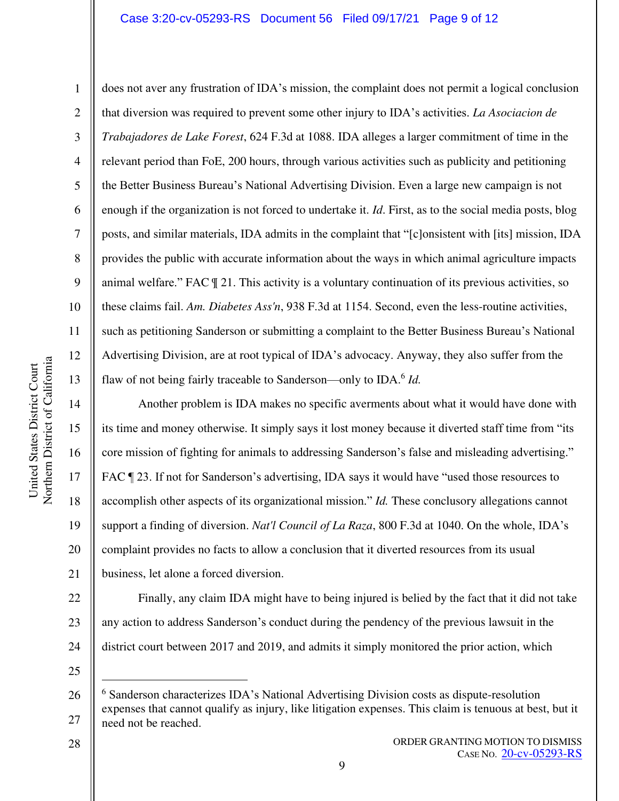#### Case 3:20-cv-05293-RS Document 56 Filed 09/17/21 Page 9 of 12

Northern District of California Northern District of California United States District Court United States District Court

1

2

3

4

5

6

7

8

9

10

11

12

13

14

15

16

17

18

19

20

21

does not aver any frustration of IDA's mission, the complaint does not permit a logical conclusion that diversion was required to prevent some other injury to IDA's activities. *La Asociacion de Trabajadores de Lake Forest*, 624 F.3d at 1088. IDA alleges a larger commitment of time in the relevant period than FoE, 200 hours, through various activities such as publicity and petitioning the Better Business Bureau's National Advertising Division. Even a large new campaign is not enough if the organization is not forced to undertake it. *Id*. First, as to the social media posts, blog posts, and similar materials, IDA admits in the complaint that "[c]onsistent with [its] mission, IDA provides the public with accurate information about the ways in which animal agriculture impacts animal welfare." FAC ¶ 21. This activity is a voluntary continuation of its previous activities, so these claims fail. *Am. Diabetes Ass'n*, 938 F.3d at 1154. Second, even the less-routine activities, such as petitioning Sanderson or submitting a complaint to the Better Business Bureau's National Advertising Division, are at root typical of IDA's advocacy. Anyway, they also suffer from the flaw of not being fairly traceable to Sanderson—only to IDA.<sup>6</sup> Id.

Another problem is IDA makes no specific averments about what it would have done with its time and money otherwise. It simply says it lost money because it diverted staff time from "its core mission of fighting for animals to addressing Sanderson's false and misleading advertising." FAC  $\P$  23. If not for Sanderson's advertising, IDA says it would have "used those resources to accomplish other aspects of its organizational mission." *Id.* These conclusory allegations cannot support a finding of diversion. *Nat'l Council of La Raza*, 800 F.3d at 1040. On the whole, IDA's complaint provides no facts to allow a conclusion that it diverted resources from its usual business, let alone a forced diversion.

22 23 24 Finally, any claim IDA might have to being injured is belied by the fact that it did not take any action to address Sanderson's conduct during the pendency of the previous lawsuit in the district court between 2017 and 2019, and admits it simply monitored the prior action, which

25

<sup>26</sup>  27 <sup>6</sup> Sanderson characterizes IDA's National Advertising Division costs as dispute-resolution expenses that cannot qualify as injury, like litigation expenses. This claim is tenuous at best, but it need not be reached.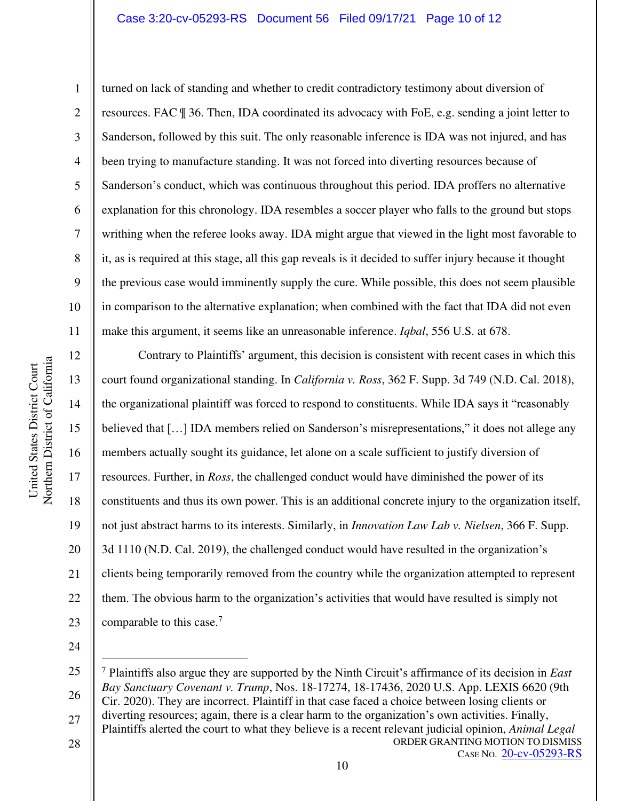#### Case 3:20-cv-05293-RS Document 56 Filed 09/17/21 Page 10 of 12

Northern District of California Northern District of California United States District Court United States District Court

6 10 turned on lack of standing and whether to credit contradictory testimony about diversion of resources. FAC ¶ 36. Then, IDA coordinated its advocacy with FoE, e.g. sending a joint letter to Sanderson, followed by this suit. The only reasonable inference is IDA was not injured, and has been trying to manufacture standing. It was not forced into diverting resources because of Sanderson's conduct, which was continuous throughout this period. IDA proffers no alternative explanation for this chronology. IDA resembles a soccer player who falls to the ground but stops writhing when the referee looks away. IDA might argue that viewed in the light most favorable to it, as is required at this stage, all this gap reveals is it decided to suffer injury because it thought the previous case would imminently supply the cure. While possible, this does not seem plausible in comparison to the alternative explanation; when combined with the fact that IDA did not even make this argument, it seems like an unreasonable inference. *Iqbal*, 556 U.S. at 678.

12 13 14 15 16 17 18 19 20 21 22 23 Contrary to Plaintiffs' argument, this decision is consistent with recent cases in which this court found organizational standing. In *California v. Ross*, 362 F. Supp. 3d 749 (N.D. Cal. 2018), the organizational plaintiff was forced to respond to constituents. While IDA says it "reasonably believed that [...] IDA members relied on Sanderson's misrepresentations," it does not allege any members actually sought its guidance, let alone on a scale sufficient to justify diversion of resources. Further, in *Ross*, the challenged conduct would have diminished the power of its constituents and thus its own power. This is an additional concrete injury to the organization itself, not just abstract harms to its interests. Similarly, in *Innovation Law Lab v. Nielsen*, 366 F. Supp. 3d 1110 (N.D. Cal. 2019), the challenged conduct would have resulted in the organization's clients being temporarily removed from the country while the organization attempted to represent them. The obvious harm to the organization's activities that would have resulted is simply not comparable to this case.<sup>7</sup>

24

ORDER GRANTING MOTION TO DISMISS 25 26 27 28 <sup>7</sup> Plaintiffs also argue they are supported by the Ninth Circuit's affirmance of its decision in *East Bay Sanctuary Covenant v. Trump*, Nos. 18-17274, 18-17436, 2020 U.S. App. LEXIS 6620 (9th Cir. 2020). They are incorrect. Plaintiff in that case faced a choice between losing clients or diverting resources; again, there is a clear harm to the organization's own activities. Finally, Plaintiffs alerted the court to what they believe is a recent relevant judicial opinion, *Animal Legal* 

10

CASE NO. [20-cv-05293-RS](https://ecf.cand.uscourts.gov/cgi-bin/DktRpt.pl?363559)

1

2

3

4

5

7

8

9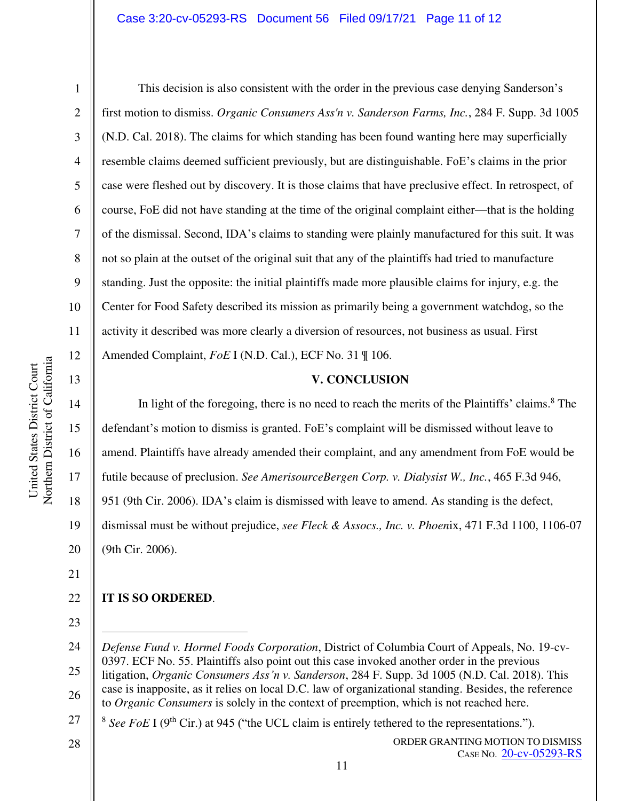#### Case 3:20-cv-05293-RS Document 56 Filed 09/17/21 Page 11 of 12

This decision is also consistent with the order in the previous case denying Sanderson's first motion to dismiss. *Organic Consumers Ass'n v. Sanderson Farms, Inc.*, 284 F. Supp. 3d 1005 (N.D. Cal. 2018). The claims for which standing has been found wanting here may superficially resemble claims deemed sufficient previously, but are distinguishable. FoE's claims in the prior case were fleshed out by discovery. It is those claims that have preclusive effect. In retrospect, of course, FoE did not have standing at the time of the original complaint either—that is the holding of the dismissal. Second, IDA's claims to standing were plainly manufactured for this suit. It was not so plain at the outset of the original suit that any of the plaintiffs had tried to manufacture standing. Just the opposite: the initial plaintiffs made more plausible claims for injury, e.g. the Center for Food Safety described its mission as primarily being a government watchdog, so the activity it described was more clearly a diversion of resources, not business as usual. First Amended Complaint, *FoE* I (N.D. Cal.), ECF No. 31 ¶ 106.

### **V. CONCLUSION**

In light of the foregoing, there is no need to reach the merits of the Plaintiffs' claims.<sup>8</sup> The defendant's motion to dismiss is granted. FoE's complaint will be dismissed without leave to amend. Plaintiffs have already amended their complaint, and any amendment from FoE would be futile because of preclusion. *See AmerisourceBergen Corp. v. Dialysist W., Inc.*, 465 F.3d 946, 951 (9th Cir. 2006). IDA's claim is dismissed with leave to amend. As standing is the defect, dismissal must be without prejudice, *see Fleck & Assocs., Inc. v. Phoen*ix, 471 F.3d 1100, 1106-07 (9th Cir. 2006).

21

1

2

3

4

5

6

7

8

9

10

11

12

13

14

15

16

17

18

19

20

#### 22 **IT IS SO ORDERED**.

23

28

ORDER GRANTING MOTION TO DISMISS CASE NO. [20-cv-05293-RS](https://ecf.cand.uscourts.gov/cgi-bin/DktRpt.pl?363559)

<sup>24</sup>  25 26 *Defense Fund v. Hormel Foods Corporation*, District of Columbia Court of Appeals, No. 19-cv-0397. ECF No. 55. Plaintiffs also point out this case invoked another order in the previous litigation, *Organic Consumers Ass'n v. Sanderson*, 284 F. Supp. 3d 1005 (N.D. Cal. 2018). This case is inapposite, as it relies on local D.C. law of organizational standing. Besides, the reference to *Organic Consumers* is solely in the context of preemption, which is not reached here.

<sup>27</sup>   $8$  See FoE I (9<sup>th</sup> Cir.) at 945 ("the UCL claim is entirely tethered to the representations.").